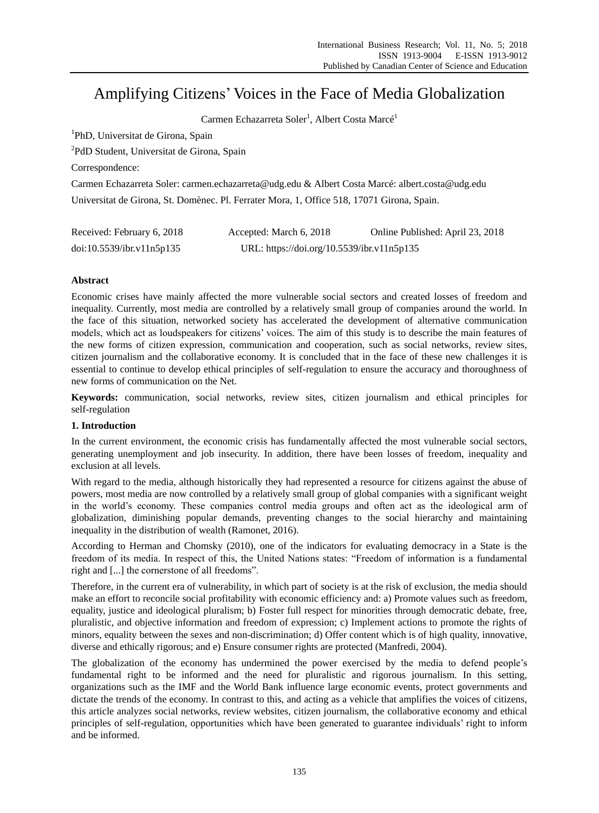# Amplifying Citizens" Voices in the Face of Media Globalization

Carmen Echazarreta Soler<sup>1</sup>, Albert Costa Marc é

<sup>1</sup>PhD, Universitat de Girona, Spain <sup>2</sup>PdD Student, Universitat de Girona, Spain Correspondence: Carmen Echazarreta Soler: carmen.echazarreta@udg.edu & Albert Costa Marcé: albert.costa@udg.edu Universitat de Girona, St. Domènec. Pl. Ferrater Mora, 1, Office 518, 17071 Girona, Spain.

| Received: February 6, 2018 | Accepted: March 6, 2018                    | Online Published: April 23, 2018 |
|----------------------------|--------------------------------------------|----------------------------------|
| doi:10.5539/ibr.v11n5p135  | URL: https://doi.org/10.5539/ibr.v11n5p135 |                                  |

# **Abstract**

Economic crises have mainly affected the more vulnerable social sectors and created losses of freedom and inequality. Currently, most media are controlled by a relatively small group of companies around the world. In the face of this situation, networked society has accelerated the development of alternative communication models, which act as loudspeakers for citizens" voices. The aim of this study is to describe the main features of the new forms of citizen expression, communication and cooperation, such as social networks, review sites, citizen journalism and the collaborative economy. It is concluded that in the face of these new challenges it is essential to continue to develop ethical principles of self-regulation to ensure the accuracy and thoroughness of new forms of communication on the Net.

**Keywords:** communication, social networks, review sites, citizen journalism and ethical principles for self-regulation

## **1. Introduction**

In the current environment, the economic crisis has fundamentally affected the most vulnerable social sectors, generating unemployment and job insecurity. In addition, there have been losses of freedom, inequality and exclusion at all levels.

With regard to the media, although historically they had represented a resource for citizens against the abuse of powers, most media are now controlled by a relatively small group of global companies with a significant weight in the world"s economy. These companies control media groups and often act as the ideological arm of globalization, diminishing popular demands, preventing changes to the social hierarchy and maintaining inequality in the distribution of wealth (Ramonet, 2016).

According to Herman and Chomsky (2010), one of the indicators for evaluating democracy in a State is the freedom of its media. In respect of this, the United Nations states: "Freedom of information is a fundamental right and [...] the cornerstone of all freedoms".

Therefore, in the current era of vulnerability, in which part of society is at the risk of exclusion, the media should make an effort to reconcile social profitability with economic efficiency and: a) Promote values such as freedom, equality, justice and ideological pluralism; b) Foster full respect for minorities through democratic debate, free, pluralistic, and objective information and freedom of expression; c) Implement actions to promote the rights of minors, equality between the sexes and non-discrimination; d) Offer content which is of high quality, innovative, diverse and ethically rigorous; and e) Ensure consumer rights are protected (Manfredi, 2004).

The globalization of the economy has undermined the power exercised by the media to defend people"s fundamental right to be informed and the need for pluralistic and rigorous journalism. In this setting, organizations such as the IMF and the World Bank influence large economic events, protect governments and dictate the trends of the economy. In contrast to this, and acting as a vehicle that amplifies the voices of citizens, this article analyzes social networks, review websites, citizen journalism, the collaborative economy and ethical principles of self-regulation, opportunities which have been generated to guarantee individuals" right to inform and be informed.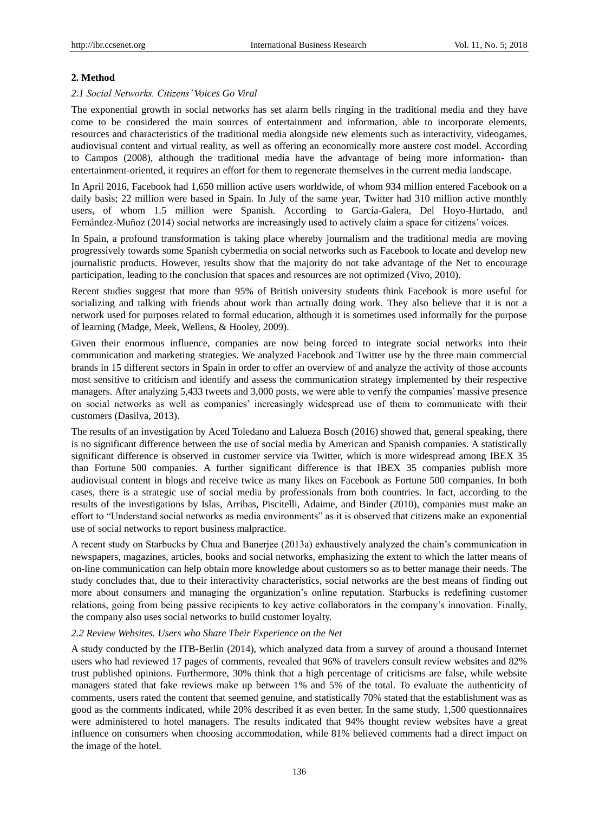#### **2. Method**

#### *2.1 Social Networks. Citizens' Voices Go Viral*

The exponential growth in social networks has set alarm bells ringing in the traditional media and they have come to be considered the main sources of entertainment and information, able to incorporate elements, resources and characteristics of the traditional media alongside new elements such as interactivity, videogames, audiovisual content and virtual reality, as well as offering an economically more austere cost model. According to Campos (2008), although the traditional media have the advantage of being more information- than entertainment-oriented, it requires an effort for them to regenerate themselves in the current media landscape.

In April 2016, Facebook had 1,650 million active users worldwide, of whom 934 million entered Facebook on a daily basis; 22 million were based in Spain. In July of the same year, Twitter had 310 million active monthly users, of whom 1.5 million were Spanish. According to García-Galera, Del Hoyo-Hurtado, and Fernández-Muñoz (2014) social networks are increasingly used to actively claim a space for citizens" voices.

In Spain, a profound transformation is taking place whereby journalism and the traditional media are moving progressively towards some Spanish cybermedia on social networks such as Facebook to locate and develop new journalistic products. However, results show that the majority do not take advantage of the Net to encourage participation, leading to the conclusion that spaces and resources are not optimized (Vivo, 2010).

Recent studies suggest that more than 95% of British university students think Facebook is more useful for socializing and talking with friends about work than actually doing work. They also believe that it is not a network used for purposes related to formal education, although it is sometimes used informally for the purpose of learning (Madge, Meek, Wellens, & Hooley, 2009).

Given their enormous influence, companies are now being forced to integrate social networks into their communication and marketing strategies. We analyzed Facebook and Twitter use by the three main commercial brands in 15 different sectors in Spain in order to offer an overview of and analyze the activity of those accounts most sensitive to criticism and identify and assess the communication strategy implemented by their respective managers. After analyzing 5,433 tweets and 3,000 posts, we were able to verify the companies" massive presence on social networks as well as companies" increasingly widespread use of them to communicate with their customers (Dasilva, 2013).

The results of an investigation by Aced Toledano and Lalueza Bosch (2016) showed that, general speaking, there is no significant difference between the use of social media by American and Spanish companies. A statistically significant difference is observed in customer service via Twitter, which is more widespread among IBEX 35 than Fortune 500 companies. A further significant difference is that IBEX 35 companies publish more audiovisual content in blogs and receive twice as many likes on Facebook as Fortune 500 companies. In both cases, there is a strategic use of social media by professionals from both countries. In fact, according to the results of the investigations by Islas, Arribas, Piscitelli, Adaime, and Binder (2010), companies must make an effort to "Understand social networks as media environments" as it is observed that citizens make an exponential use of social networks to report business malpractice.

A recent study on Starbucks by Chua and Banerjee (2013a) exhaustively analyzed the chain"s communication in newspapers, magazines, articles, books and social networks, emphasizing the extent to which the latter means of on-line communication can help obtain more knowledge about customers so as to better manage their needs. The study concludes that, due to their interactivity characteristics, social networks are the best means of finding out more about consumers and managing the organization"s online reputation. Starbucks is redefining customer relations, going from being passive recipients to key active collaborators in the company"s innovation. Finally, the company also uses social networks to build customer loyalty.

#### *2.2 Review Websites. Users who Share Their Experience on the Net*

A study conducted by the ITB-Berlin (2014), which analyzed data from a survey of around a thousand Internet users who had reviewed 17 pages of comments, revealed that 96% of travelers consult review websites and 82% trust published opinions. Furthermore, 30% think that a high percentage of criticisms are false, while website managers stated that fake reviews make up between 1% and 5% of the total. To evaluate the authenticity of comments, users rated the content that seemed genuine, and statistically 70% stated that the establishment was as good as the comments indicated, while 20% described it as even better. In the same study, 1,500 questionnaires were administered to hotel managers. The results indicated that 94% thought review websites have a great influence on consumers when choosing accommodation, while 81% believed comments had a direct impact on the image of the hotel.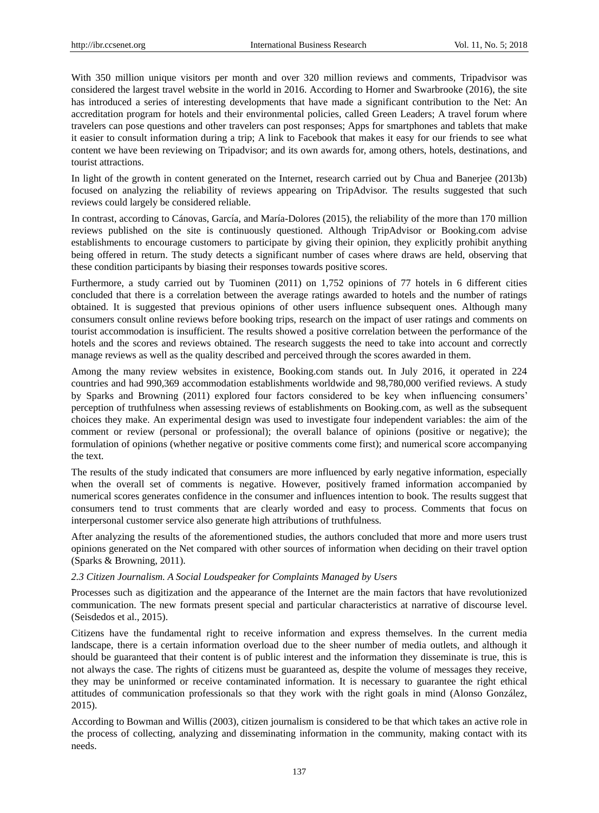With 350 million unique visitors per month and over 320 million reviews and comments, Tripadvisor was considered the largest travel website in the world in 2016. According to Horner and Swarbrooke (2016), the site has introduced a series of interesting developments that have made a significant contribution to the Net: An accreditation program for hotels and their environmental policies, called Green Leaders; A travel forum where travelers can pose questions and other travelers can post responses; Apps for smartphones and tablets that make it easier to consult information during a trip; A link to Facebook that makes it easy for our friends to see what content we have been reviewing on Tripadvisor; and its own awards for, among others, hotels, destinations, and tourist attractions.

In light of the growth in content generated on the Internet, research carried out by Chua and Banerjee (2013b) focused on analyzing the reliability of reviews appearing on TripAdvisor. The results suggested that such reviews could largely be considered reliable.

In contrast, according to C ánovas, Garc á, and Mar á-Dolores (2015), the reliability of the more than 170 million reviews published on the site is continuously questioned. Although TripAdvisor or Booking.com advise establishments to encourage customers to participate by giving their opinion, they explicitly prohibit anything being offered in return. The study detects a significant number of cases where draws are held, observing that these condition participants by biasing their responses towards positive scores.

Furthermore, a study carried out by Tuominen (2011) on 1,752 opinions of 77 hotels in 6 different cities concluded that there is a correlation between the average ratings awarded to hotels and the number of ratings obtained. It is suggested that previous opinions of other users influence subsequent ones. Although many consumers consult online reviews before booking trips, research on the impact of user ratings and comments on tourist accommodation is insufficient. The results showed a positive correlation between the performance of the hotels and the scores and reviews obtained. The research suggests the need to take into account and correctly manage reviews as well as the quality described and perceived through the scores awarded in them.

Among the many review websites in existence, Booking.com stands out. In July 2016, it operated in 224 countries and had 990,369 accommodation establishments worldwide and 98,780,000 verified reviews. A study by Sparks and Browning (2011) explored four factors considered to be key when influencing consumers" perception of truthfulness when assessing reviews of establishments on Booking.com, as well as the subsequent choices they make. An experimental design was used to investigate four independent variables: the aim of the comment or review (personal or professional); the overall balance of opinions (positive or negative); the formulation of opinions (whether negative or positive comments come first); and numerical score accompanying the text.

The results of the study indicated that consumers are more influenced by early negative information, especially when the overall set of comments is negative. However, positively framed information accompanied by numerical scores generates confidence in the consumer and influences intention to book. The results suggest that consumers tend to trust comments that are clearly worded and easy to process. Comments that focus on interpersonal customer service also generate high attributions of truthfulness.

After analyzing the results of the aforementioned studies, the authors concluded that more and more users trust opinions generated on the Net compared with other sources of information when deciding on their travel option (Sparks & Browning, 2011).

### *2.3 Citizen Journalism. A Social Loudspeaker for Complaints Managed by Users*

Processes such as digitization and the appearance of the Internet are the main factors that have revolutionized communication. The new formats present special and particular characteristics at narrative of discourse level. (Seisdedos et al., 2015).

Citizens have the fundamental right to receive information and express themselves. In the current media landscape, there is a certain information overload due to the sheer number of media outlets, and although it should be guaranteed that their content is of public interest and the information they disseminate is true, this is not always the case. The rights of citizens must be guaranteed as, despite the volume of messages they receive, they may be uninformed or receive contaminated information. It is necessary to guarantee the right ethical attitudes of communication professionals so that they work with the right goals in mind (Alonso González, 2015).

According to Bowman and Willis (2003), citizen journalism is considered to be that which takes an active role in the process of collecting, analyzing and disseminating information in the community, making contact with its needs.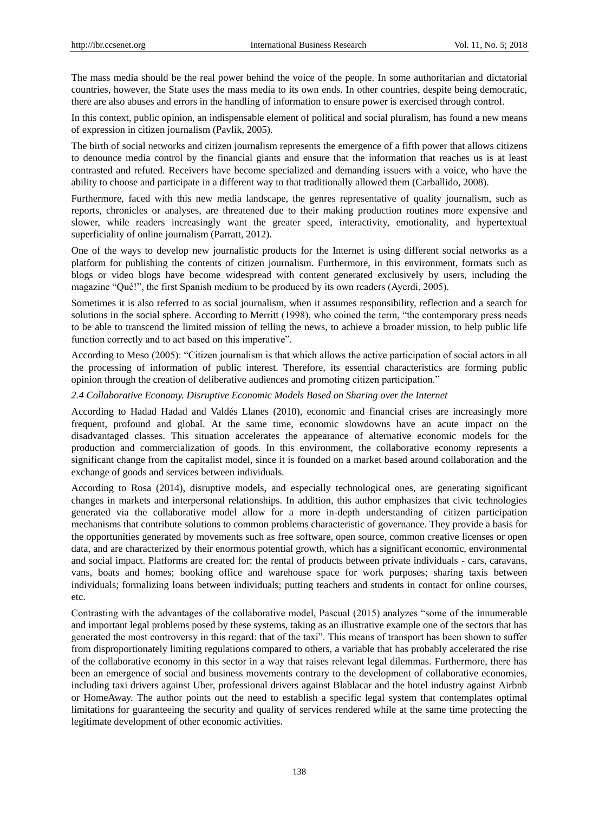The mass media should be the real power behind the voice of the people. In some authoritarian and dictatorial countries, however, the State uses the mass media to its own ends. In other countries, despite being democratic, there are also abuses and errors in the handling of information to ensure power is exercised through control.

In this context, public opinion, an indispensable element of political and social pluralism, has found a new means of expression in citizen journalism (Pavlik, 2005).

The birth of social networks and citizen journalism represents the emergence of a fifth power that allows citizens to denounce media control by the financial giants and ensure that the information that reaches us is at least contrasted and refuted. Receivers have become specialized and demanding issuers with a voice, who have the ability to choose and participate in a different way to that traditionally allowed them (Carballido, 2008).

Furthermore, faced with this new media landscape, the genres representative of quality journalism, such as reports, chronicles or analyses, are threatened due to their making production routines more expensive and slower, while readers increasingly want the greater speed, interactivity, emotionality, and hypertextual superficiality of online journalism (Parratt, 2012).

One of the ways to develop new journalistic products for the Internet is using different social networks as a platform for publishing the contents of citizen journalism. Furthermore, in this environment, formats such as blogs or video blogs have become widespread with content generated exclusively by users, including the magazine "Qué!", the first Spanish medium to be produced by its own readers (Ayerdi, 2005).

Sometimes it is also referred to as social journalism, when it assumes responsibility, reflection and a search for solutions in the social sphere. According to Merritt (1998), who coined the term, "the contemporary press needs to be able to transcend the limited mission of telling the news, to achieve a broader mission, to help public life function correctly and to act based on this imperative".

According to Meso (2005): "Citizen journalism is that which allows the active participation of social actors in all the processing of information of public interest. Therefore, its essential characteristics are forming public opinion through the creation of deliberative audiences and promoting citizen participation."

*2.4 Collaborative Economy. Disruptive Economic Models Based on Sharing over the Internet*

According to Hadad Hadad and Valdés Llanes (2010), economic and financial crises are increasingly more frequent, profound and global. At the same time, economic slowdowns have an acute impact on the disadvantaged classes. This situation accelerates the appearance of alternative economic models for the production and commercialization of goods. In this environment, the collaborative economy represents a significant change from the capitalist model, since it is founded on a market based around collaboration and the exchange of goods and services between individuals.

According to Rosa (2014), disruptive models, and especially technological ones, are generating significant changes in markets and interpersonal relationships. In addition, this author emphasizes that civic technologies generated via the collaborative model allow for a more in-depth understanding of citizen participation mechanisms that contribute solutions to common problems characteristic of governance. They provide a basis for the opportunities generated by movements such as free software, open source, common creative licenses or open data, and are characterized by their enormous potential growth, which has a significant economic, environmental and social impact. Platforms are created for: the rental of products between private individuals - cars, caravans, vans, boats and homes; booking office and warehouse space for work purposes; sharing taxis between individuals; formalizing loans between individuals; putting teachers and students in contact for online courses, etc.

Contrasting with the advantages of the collaborative model, Pascual (2015) analyzes "some of the innumerable and important legal problems posed by these systems, taking as an illustrative example one of the sectors that has generated the most controversy in this regard: that of the taxi". This means of transport has been shown to suffer from disproportionately limiting regulations compared to others, a variable that has probably accelerated the rise of the collaborative economy in this sector in a way that raises relevant legal dilemmas. Furthermore, there has been an emergence of social and business movements contrary to the development of collaborative economies, including taxi drivers against Uber, professional drivers against Blablacar and the hotel industry against Airbnb or HomeAway. The author points out the need to establish a specific legal system that contemplates optimal limitations for guaranteeing the security and quality of services rendered while at the same time protecting the legitimate development of other economic activities.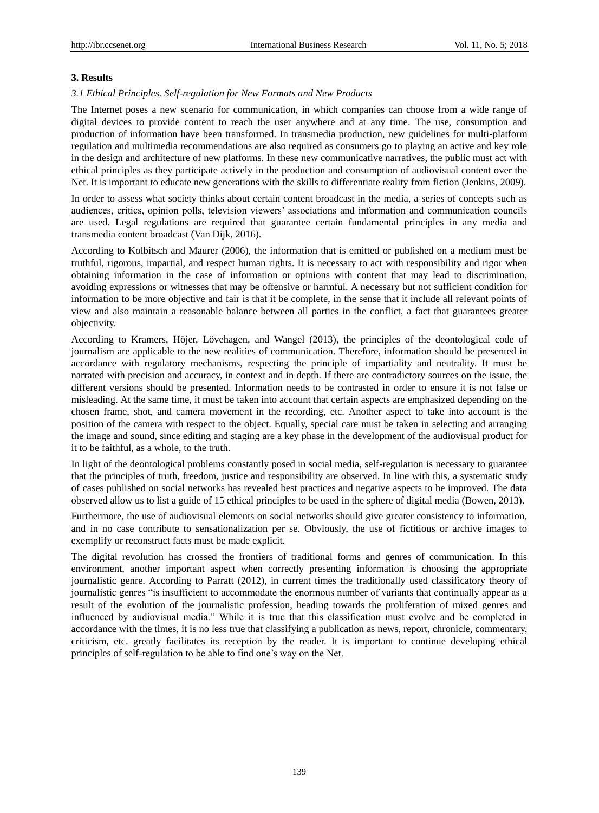### **3. Results**

#### *3.1 Ethical Principles. Self-regulation for New Formats and New Products*

The Internet poses a new scenario for communication, in which companies can choose from a wide range of digital devices to provide content to reach the user anywhere and at any time. The use, consumption and production of information have been transformed. In transmedia production, new guidelines for multi-platform regulation and multimedia recommendations are also required as consumers go to playing an active and key role in the design and architecture of new platforms. In these new communicative narratives, the public must act with ethical principles as they participate actively in the production and consumption of audiovisual content over the Net. It is important to educate new generations with the skills to differentiate reality from fiction (Jenkins, 2009).

In order to assess what society thinks about certain content broadcast in the media, a series of concepts such as audiences, critics, opinion polls, television viewers" associations and information and communication councils are used. Legal regulations are required that guarantee certain fundamental principles in any media and transmedia content broadcast (Van Dijk, 2016).

According to Kolbitsch and Maurer (2006), the information that is emitted or published on a medium must be truthful, rigorous, impartial, and respect human rights. It is necessary to act with responsibility and rigor when obtaining information in the case of information or opinions with content that may lead to discrimination, avoiding expressions or witnesses that may be offensive or harmful. A necessary but not sufficient condition for information to be more objective and fair is that it be complete, in the sense that it include all relevant points of view and also maintain a reasonable balance between all parties in the conflict, a fact that guarantees greater objectivity.

According to Kramers, Höjer, Lövehagen, and Wangel (2013), the principles of the deontological code of journalism are applicable to the new realities of communication. Therefore, information should be presented in accordance with regulatory mechanisms, respecting the principle of impartiality and neutrality. It must be narrated with precision and accuracy, in context and in depth. If there are contradictory sources on the issue, the different versions should be presented. Information needs to be contrasted in order to ensure it is not false or misleading. At the same time, it must be taken into account that certain aspects are emphasized depending on the chosen frame, shot, and camera movement in the recording, etc. Another aspect to take into account is the position of the camera with respect to the object. Equally, special care must be taken in selecting and arranging the image and sound, since editing and staging are a key phase in the development of the audiovisual product for it to be faithful, as a whole, to the truth.

In light of the deontological problems constantly posed in social media, self-regulation is necessary to guarantee that the principles of truth, freedom, justice and responsibility are observed. In line with this, a systematic study of cases published on social networks has revealed best practices and negative aspects to be improved. The data observed allow us to list a guide of 15 ethical principles to be used in the sphere of digital media (Bowen, 2013).

Furthermore, the use of audiovisual elements on social networks should give greater consistency to information, and in no case contribute to sensationalization per se. Obviously, the use of fictitious or archive images to exemplify or reconstruct facts must be made explicit.

The digital revolution has crossed the frontiers of traditional forms and genres of communication. In this environment, another important aspect when correctly presenting information is choosing the appropriate journalistic genre. According to Parratt (2012), in current times the traditionally used classificatory theory of journalistic genres "is insufficient to accommodate the enormous number of variants that continually appear as a result of the evolution of the journalistic profession, heading towards the proliferation of mixed genres and influenced by audiovisual media." While it is true that this classification must evolve and be completed in accordance with the times, it is no less true that classifying a publication as news, report, chronicle, commentary, criticism, etc. greatly facilitates its reception by the reader. It is important to continue developing ethical principles of self-regulation to be able to find one"s way on the Net.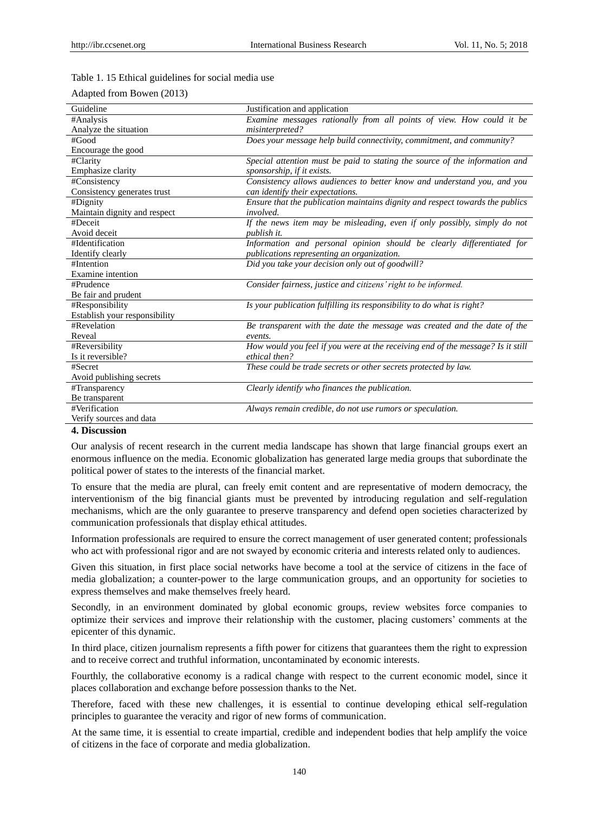## Table 1. 15 Ethical guidelines for social media use

| Adapted from Bowen (2013) |  |  |  |
|---------------------------|--|--|--|
|---------------------------|--|--|--|

| Guideline                     | Justification and application                                                   |
|-------------------------------|---------------------------------------------------------------------------------|
| #Analysis                     | Examine messages rationally from all points of view. How could it be            |
| Analyze the situation         | misinterpreted?                                                                 |
| #Good                         | Does your message help build connectivity, commitment, and community?           |
| Encourage the good            |                                                                                 |
| #Clarity                      | Special attention must be paid to stating the source of the information and     |
| Emphasize clarity             | sponsorship, if it exists.                                                      |
| #Consistency                  | Consistency allows audiences to better know and understand you, and you         |
| Consistency generates trust   | can identify their expectations.                                                |
| #Dignity                      | Ensure that the publication maintains dignity and respect towards the publics   |
| Maintain dignity and respect  | <i>involved.</i>                                                                |
| #Deceit                       | If the news item may be misleading, even if only possibly, simply do not        |
| Avoid deceit                  | publish it.                                                                     |
| #Identification               | Information and personal opinion should be clearly differentiated for           |
| Identify clearly              | publications representing an organization.                                      |
| #Intention                    | Did you take your decision only out of goodwill?                                |
| Examine intention             |                                                                                 |
| #Prudence                     | Consider fairness, justice and citizens' right to be informed.                  |
| Be fair and prudent           |                                                                                 |
| #Responsibility               | Is your publication fulfilling its responsibility to do what is right?          |
| Establish your responsibility |                                                                                 |
| #Revelation                   | Be transparent with the date the message was created and the date of the        |
| Reveal                        | events.                                                                         |
| #Reversibility                | How would you feel if you were at the receiving end of the message? Is it still |
| Is it reversible?             | ethical then?                                                                   |
| #Secret                       | These could be trade secrets or other secrets protected by law.                 |
| Avoid publishing secrets      |                                                                                 |
| #Transparency                 | Clearly identify who finances the publication.                                  |
| Be transparent                |                                                                                 |
| #Verification                 | Always remain credible, do not use rumors or speculation.                       |
| Verify sources and data       |                                                                                 |
| $\triangle$ Discussion        |                                                                                 |

#### **4. Discussion**

Our analysis of recent research in the current media landscape has shown that large financial groups exert an enormous influence on the media. Economic globalization has generated large media groups that subordinate the political power of states to the interests of the financial market.

To ensure that the media are plural, can freely emit content and are representative of modern democracy, the interventionism of the big financial giants must be prevented by introducing regulation and self-regulation mechanisms, which are the only guarantee to preserve transparency and defend open societies characterized by communication professionals that display ethical attitudes.

Information professionals are required to ensure the correct management of user generated content; professionals who act with professional rigor and are not swayed by economic criteria and interests related only to audiences.

Given this situation, in first place social networks have become a tool at the service of citizens in the face of media globalization; a counter-power to the large communication groups, and an opportunity for societies to express themselves and make themselves freely heard.

Secondly, in an environment dominated by global economic groups, review websites force companies to optimize their services and improve their relationship with the customer, placing customers" comments at the epicenter of this dynamic.

In third place, citizen journalism represents a fifth power for citizens that guarantees them the right to expression and to receive correct and truthful information, uncontaminated by economic interests.

Fourthly, the collaborative economy is a radical change with respect to the current economic model, since it places collaboration and exchange before possession thanks to the Net.

Therefore, faced with these new challenges, it is essential to continue developing ethical self-regulation principles to guarantee the veracity and rigor of new forms of communication.

At the same time, it is essential to create impartial, credible and independent bodies that help amplify the voice of citizens in the face of corporate and media globalization.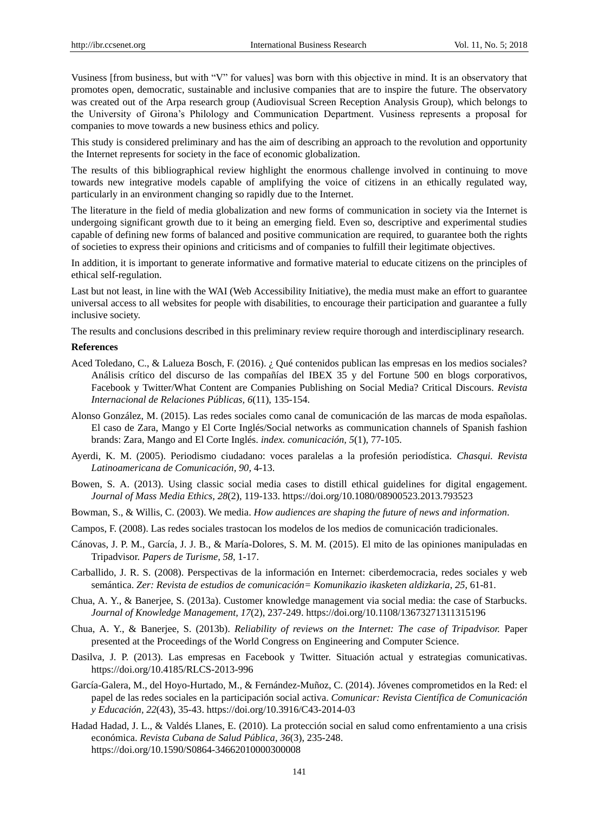Vusiness [from business, but with "V" for values] was born with this objective in mind. It is an observatory that promotes open, democratic, sustainable and inclusive companies that are to inspire the future. The observatory was created out of the Arpa research group (Audiovisual Screen Reception Analysis Group), which belongs to the University of Girona"s Philology and Communication Department. Vusiness represents a proposal for companies to move towards a new business ethics and policy.

This study is considered preliminary and has the aim of describing an approach to the revolution and opportunity the Internet represents for society in the face of economic globalization.

The results of this bibliographical review highlight the enormous challenge involved in continuing to move towards new integrative models capable of amplifying the voice of citizens in an ethically regulated way, particularly in an environment changing so rapidly due to the Internet.

The literature in the field of media globalization and new forms of communication in society via the Internet is undergoing significant growth due to it being an emerging field. Even so, descriptive and experimental studies capable of defining new forms of balanced and positive communication are required, to guarantee both the rights of societies to express their opinions and criticisms and of companies to fulfill their legitimate objectives.

In addition, it is important to generate informative and formative material to educate citizens on the principles of ethical self-regulation.

Last but not least, in line with the WAI (Web Accessibility Initiative), the media must make an effort to guarantee universal access to all websites for people with disabilities, to encourage their participation and guarantee a fully inclusive society.

The results and conclusions described in this preliminary review require thorough and interdisciplinary research.

## **References**

- Aced Toledano, C., & Lalueza Bosch, F. (2016). ¿ Qué contenidos publican las empresas en los medios sociales? Análisis crítico del discurso de las compañías del IBEX 35 y del Fortune 500 en blogs corporativos, Facebook y Twitter/What Content are Companies Publishing on Social Media? Critical Discours. *Revista Internacional de Relaciones Públicas, 6*(11), 135-154.
- Alonso González, M. (2015). Las redes sociales como canal de comunicación de las marcas de moda españolas. El caso de Zara, Mango y El Corte Inglés/Social networks as communication channels of Spanish fashion brands: Zara, Mango and El Corte Inglés. *index. comunicación, 5*(1), 77-105.
- Ayerdi, K. M. (2005). Periodismo ciudadano: voces paralelas a la profesión periodística. *Chasqui. Revista Latinoamericana de Comunicación, 90,* 4-13.
- Bowen, S. A. (2013). Using classic social media cases to distill ethical guidelines for digital engagement. *Journal of Mass Media Ethics, 28*(2), 119-133. https://doi.org/10.1080/08900523.2013.793523
- Bowman, S., & Willis, C. (2003). We media. *How audiences are shaping the future of news and information*.
- Campos, F. (2008). Las redes sociales trastocan los modelos de los medios de comunicación tradicionales.
- Cánovas, J. P. M., García, J. J. B., & María-Dolores, S. M. M. (2015). El mito de las opiniones manipuladas en Tripadvisor. *Papers de Turisme, 58,* 1-17.
- Carballido, J. R. S. (2008). Perspectivas de la información en Internet: ciberdemocracia, redes sociales y web semántica. *Zer: Revista de estudios de comunicación= Komunikazio ikasketen aldizkaria*, *25,* 61-81.
- Chua, A. Y., & Banerjee, S. (2013a). Customer knowledge management via social media: the case of Starbucks. *Journal of Knowledge Management, 17*(2), 237-249. https://doi.org/10.1108/13673271311315196
- Chua, A. Y., & Banerjee, S. (2013b). *Reliability of reviews on the Internet: The case of Tripadvisor.* Paper presented at the Proceedings of the World Congress on Engineering and Computer Science.
- Dasilva, J. P. (2013). Las empresas en Facebook y Twitter. Situación actual y estrategias comunicativas. https://doi.org/10.4185/RLCS-2013-996
- García-Galera, M., del Hoyo-Hurtado, M., & Fernández-Muñoz, C. (2014). Jóvenes comprometidos en la Red: el papel de las redes sociales en la participación social activa. *Comunicar: Revista Científica de Comunicación y Educación, 22*(43), 35-43. https://doi.org/10.3916/C43-2014-03
- Hadad Hadad, J. L., & Valdés Llanes, E. (2010). La protección social en salud como enfrentamiento a una crisis económica. *Revista Cubana de Salud Pública, 36*(3), 235-248. https://doi.org/10.1590/S0864-34662010000300008